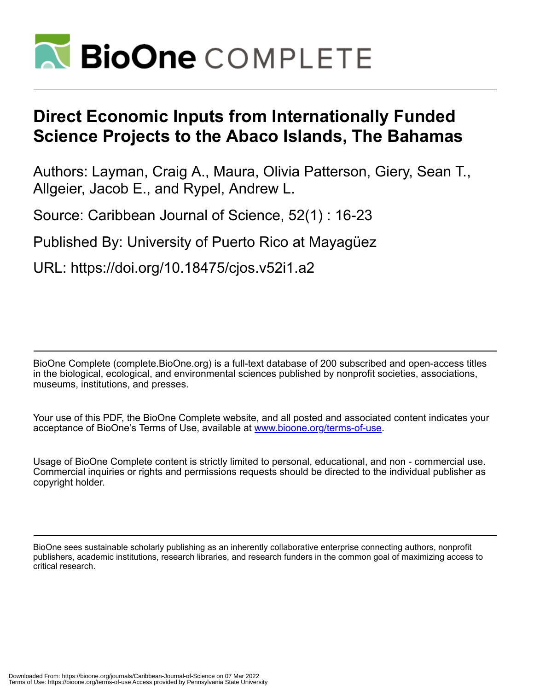

# **Direct Economic Inputs from Internationally Funded Science Projects to the Abaco Islands, The Bahamas**

Authors: Layman, Craig A., Maura, Olivia Patterson, Giery, Sean T., Allgeier, Jacob E., and Rypel, Andrew L.

Source: Caribbean Journal of Science, 52(1) : 16-23

Published By: University of Puerto Rico at Mayagüez

URL: https://doi.org/10.18475/cjos.v52i1.a2

BioOne Complete (complete.BioOne.org) is a full-text database of 200 subscribed and open-access titles in the biological, ecological, and environmental sciences published by nonprofit societies, associations, museums, institutions, and presses.

Your use of this PDF, the BioOne Complete website, and all posted and associated content indicates your acceptance of BioOne's Terms of Use, available at www.bioone.org/terms-of-use.

Usage of BioOne Complete content is strictly limited to personal, educational, and non - commercial use. Commercial inquiries or rights and permissions requests should be directed to the individual publisher as copyright holder.

BioOne sees sustainable scholarly publishing as an inherently collaborative enterprise connecting authors, nonprofit publishers, academic institutions, research libraries, and research funders in the common goal of maximizing access to critical research.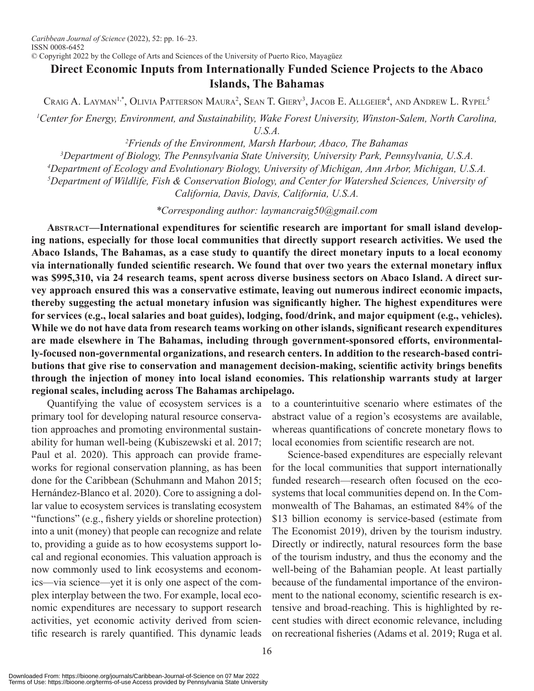© Copyright 2022 by the College of Arts and Sciences of the University of Puerto Rico, Mayagüez

## **Direct Economic Inputs from Internationally Funded Science Projects to the Abaco Islands, The Bahamas**

Craig A. Layman<sup>1,</sup>\*, Olivia Patterson Maura<sup>2</sup>, Sean T. Giery<sup>3</sup>, Jacob E. Allgeier<sup>4</sup>, and Andrew L. Rypel<sup>5</sup>

<sup>1</sup> Center for Energy, Environment, and Sustainability, Wake Forest University, Winston-Salem, North Carolina, *U.S.A.*

 *Friends of the Environment, Marsh Harbour, Abaco, The Bahamas Department of Biology, The Pennsylvania State University, University Park, Pennsylvania, U.S.A. Department of Ecology and Evolutionary Biology, University of Michigan, Ann Arbor, Michigan, U.S.A. Department of Wildlife, Fish & Conservation Biology, and Center for Watershed Sciences, University of* 

*California, Davis, Davis, California, U.S.A.*

*\*Corresponding author: laymancraig50@gmail.com*

**Abstract—International expenditures for scientific research are important for small island developing nations, especially for those local communities that directly support research activities. We used the Abaco Islands, The Bahamas, as a case study to quantify the direct monetary inputs to a local economy via internationally funded scientific research. We found that over two years the external monetary influx was \$995,310, via 24 research teams, spent across diverse business sectors on Abaco Island. A direct survey approach ensured this was a conservative estimate, leaving out numerous indirect economic impacts, thereby suggesting the actual monetary infusion was significantly higher. The highest expenditures were for services (e.g., local salaries and boat guides), lodging, food/drink, and major equipment (e.g., vehicles). While we do not have data from research teams working on other islands, significant research expenditures are made elsewhere in The Bahamas, including through government-sponsored efforts, environmentally-focused non-governmental organizations, and research centers. In addition to the research-based contributions that give rise to conservation and management decision-making, scientific activity brings benefits through the injection of money into local island economies. This relationship warrants study at larger regional scales, including across The Bahamas archipelago.** 

Quantifying the value of ecosystem services is a primary tool for developing natural resource conservation approaches and promoting environmental sustainability for human well-being (Kubiszewski et al. 2017; Paul et al. 2020). This approach can provide frameworks for regional conservation planning, as has been done for the Caribbean (Schuhmann and Mahon 2015; Hernández-Blanco et al. 2020). Core to assigning a dollar value to ecosystem services is translating ecosystem "functions" (e.g., fishery yields or shoreline protection) into a unit (money) that people can recognize and relate to, providing a guide as to how ecosystems support local and regional economies. This valuation approach is now commonly used to link ecosystems and economics—via science—yet it is only one aspect of the complex interplay between the two. For example, local economic expenditures are necessary to support research activities, yet economic activity derived from scientific research is rarely quantified. This dynamic leads

to a counterintuitive scenario where estimates of the abstract value of a region's ecosystems are available, whereas quantifications of concrete monetary flows to local economies from scientific research are not.

Science-based expenditures are especially relevant for the local communities that support internationally funded research—research often focused on the ecosystems that local communities depend on. In the Commonwealth of The Bahamas, an estimated 84% of the \$13 billion economy is service-based (estimate from The Economist 2019), driven by the tourism industry. Directly or indirectly, natural resources form the base of the tourism industry, and thus the economy and the well-being of the Bahamian people. At least partially because of the fundamental importance of the environment to the national economy, scientific research is extensive and broad-reaching. This is highlighted by recent studies with direct economic relevance, including on recreational fisheries (Adams et al. 2019; Ruga et al.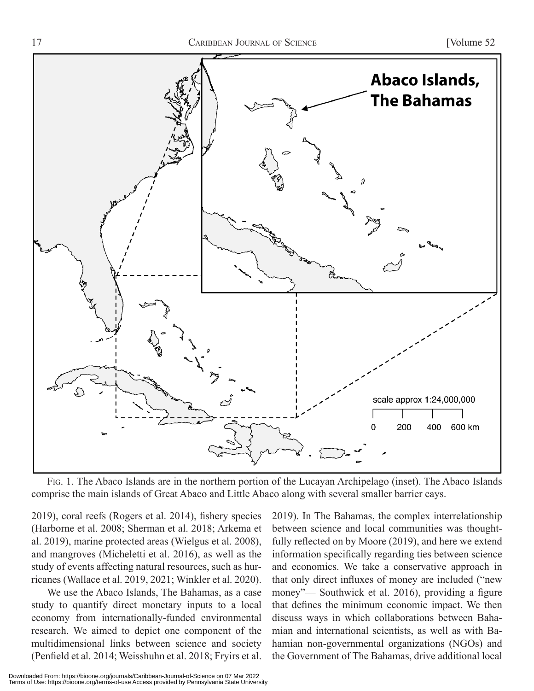

Fig. 1. The Abaco Islands are in the northern portion of the Lucayan Archipelago (inset). The Abaco Islands comprise the main islands of Great Abaco and Little Abaco along with several smaller barrier cays.

2019), coral reefs (Rogers et al. 2014), fishery species (Harborne et al. 2008; Sherman et al. 2018; Arkema et al. 2019), marine protected areas (Wielgus et al. 2008), and mangroves (Micheletti et al. 2016), as well as the study of events affecting natural resources, such as hurricanes (Wallace et al. 2019, 2021; Winkler et al. 2020).

We use the Abaco Islands, The Bahamas, as a case study to quantify direct monetary inputs to a local economy from internationally-funded environmental research. We aimed to depict one component of the multidimensional links between science and society (Penfield et al. 2014; Weisshuhn et al. 2018; Fryirs et al. 2019). In The Bahamas, the complex interrelationship between science and local communities was thoughtfully reflected on by Moore (2019), and here we extend information specifically regarding ties between science and economics. We take a conservative approach in that only direct influxes of money are included ("new money"— Southwick et al. 2016), providing a figure that defines the minimum economic impact. We then discuss ways in which collaborations between Bahamian and international scientists, as well as with Bahamian non-governmental organizations (NGOs) and the Government of The Bahamas, drive additional local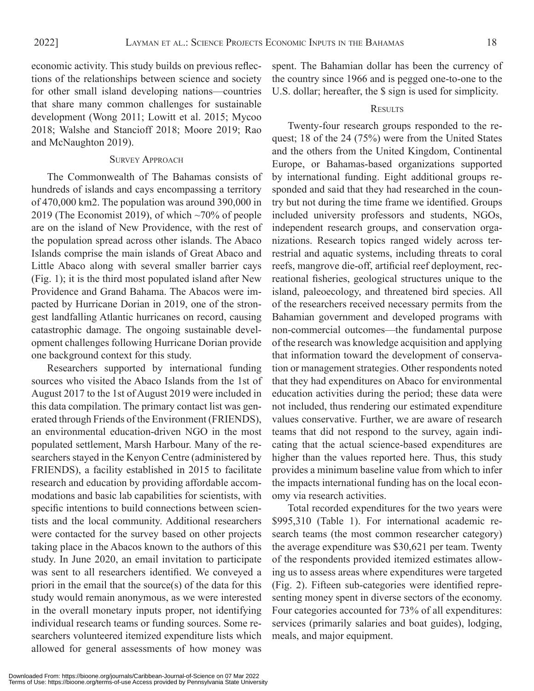economic activity. This study builds on previous reflections of the relationships between science and society for other small island developing nations—countries that share many common challenges for sustainable development (Wong 2011; Lowitt et al. 2015; Mycoo 2018; Walshe and Stancioff 2018; Moore 2019; Rao and McNaughton 2019).

#### SURVEY APPROACH

The Commonwealth of The Bahamas consists of hundreds of islands and cays encompassing a territory of 470,000 km2. The population was around 390,000 in 2019 (The Economist 2019), of which  $\sim$ 70% of people are on the island of New Providence, with the rest of the population spread across other islands. The Abaco Islands comprise the main islands of Great Abaco and Little Abaco along with several smaller barrier cays (Fig. 1); it is the third most populated island after New Providence and Grand Bahama. The Abacos were impacted by Hurricane Dorian in 2019, one of the strongest landfalling Atlantic hurricanes on record, causing catastrophic damage. The ongoing sustainable development challenges following Hurricane Dorian provide one background context for this study.

Researchers supported by international funding sources who visited the Abaco Islands from the 1st of August 2017 to the 1st of August 2019 were included in this data compilation. The primary contact list was generated through Friends of the Environment (FRIENDS), an environmental education-driven NGO in the most populated settlement, Marsh Harbour. Many of the researchers stayed in the Kenyon Centre (administered by FRIENDS), a facility established in 2015 to facilitate research and education by providing affordable accommodations and basic lab capabilities for scientists, with specific intentions to build connections between scientists and the local community. Additional researchers were contacted for the survey based on other projects taking place in the Abacos known to the authors of this study. In June 2020, an email invitation to participate was sent to all researchers identified. We conveyed a priori in the email that the source(s) of the data for this study would remain anonymous, as we were interested in the overall monetary inputs proper, not identifying individual research teams or funding sources. Some researchers volunteered itemized expenditure lists which allowed for general assessments of how money was spent. The Bahamian dollar has been the currency of the country since 1966 and is pegged one-to-one to the U.S. dollar; hereafter, the \$ sign is used for simplicity.

#### **RESULTS**

Twenty-four research groups responded to the request; 18 of the 24 (75%) were from the United States and the others from the United Kingdom, Continental Europe, or Bahamas-based organizations supported by international funding. Eight additional groups responded and said that they had researched in the country but not during the time frame we identified. Groups included university professors and students, NGOs, independent research groups, and conservation organizations. Research topics ranged widely across terrestrial and aquatic systems, including threats to coral reefs, mangrove die-off, artificial reef deployment, recreational fisheries, geological structures unique to the island, paleoecology, and threatened bird species. All of the researchers received necessary permits from the Bahamian government and developed programs with non-commercial outcomes—the fundamental purpose of the research was knowledge acquisition and applying that information toward the development of conservation or management strategies. Other respondents noted that they had expenditures on Abaco for environmental education activities during the period; these data were not included, thus rendering our estimated expenditure values conservative. Further, we are aware of research teams that did not respond to the survey, again indicating that the actual science-based expenditures are higher than the values reported here. Thus, this study provides a minimum baseline value from which to infer the impacts international funding has on the local economy via research activities.

Total recorded expenditures for the two years were \$995,310 (Table 1). For international academic research teams (the most common researcher category) the average expenditure was \$30,621 per team. Twenty of the respondents provided itemized estimates allowing us to assess areas where expenditures were targeted (Fig. 2). Fifteen sub-categories were identified representing money spent in diverse sectors of the economy. Four categories accounted for 73% of all expenditures: services (primarily salaries and boat guides), lodging, meals, and major equipment.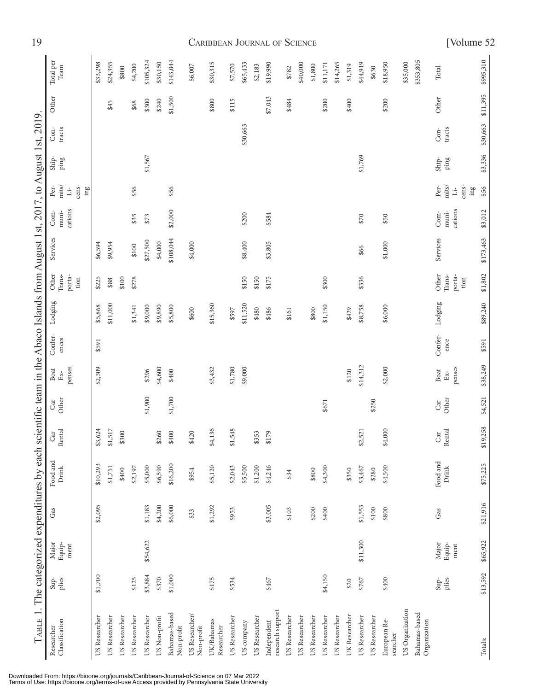| 12                                                                                                                            |                                                              |               |               |               |               |               |               |                             |                              |                          | CARIBBEAN JOURNAL<br>UF<br><b>DUIENCE</b><br>[ voimme |            |               |                                 |               |               |               |               |               |               |               |               | $\cup$                   |                 |                               |                                                                   |           |
|-------------------------------------------------------------------------------------------------------------------------------|--------------------------------------------------------------|---------------|---------------|---------------|---------------|---------------|---------------|-----------------------------|------------------------------|--------------------------|-------------------------------------------------------|------------|---------------|---------------------------------|---------------|---------------|---------------|---------------|---------------|---------------|---------------|---------------|--------------------------|-----------------|-------------------------------|-------------------------------------------------------------------|-----------|
|                                                                                                                               | Total per<br>Team                                            | \$33,298      | \$24,355      | \$800         | \$4,200       | \$105,324     | \$30,150      | \$143,044                   | \$6,007                      | \$30,315                 | \$7,570                                               | \$65,433   | \$2,183       | \$19,990                        | \$782         | \$40,000      | \$1,800       | \$11,171      | \$14,265      | \$1,319       | \$44,919      | \$630         | \$18,950                 | \$35,000        | \$353,805                     | Total                                                             | \$995,310 |
| TABLE 1. The categorized expenditures by each scientific team in the Abaco Islands from August 1st, 2017, to August 1st, 2019 | Other                                                        |               | \$45          |               | \$68          | \$300         | \$240         | \$1,500                     |                              | \$800                    | \$115                                                 |            |               | \$7,043                         | \$484         |               |               | \$200         |               | \$400         |               |               | \$200                    |                 |                               | Other                                                             | \$11,395  |
|                                                                                                                               | tracts<br>Con-                                               |               |               |               |               |               |               |                             |                              |                          |                                                       | \$30,663   |               |                                 |               |               |               |               |               |               |               |               |                          |                 |                               | tracts<br>$Con-$                                                  | \$30,663  |
|                                                                                                                               | $\sin p -$<br>ping                                           |               |               |               |               | \$1,567       |               |                             |                              |                          |                                                       |            |               |                                 |               |               |               |               |               |               | \$1,769       |               |                          |                 |                               | Ship-<br>ping                                                     | \$3,336   |
|                                                                                                                               | mits/<br>cens-<br>Per-<br>$\ln g$<br>$\overline{\mathbf{u}}$ |               |               |               | \$56          |               |               | \$56                        |                              |                          |                                                       |            |               |                                 |               |               |               |               |               |               |               |               |                          |                 |                               | cens-<br>mits/<br>Per-<br>$\mathop{\mathrm{im}}\nolimits g$<br>Ξ, | \$56      |
|                                                                                                                               | cations<br>muni-<br>Com-                                     |               |               |               | \$35          | \$73          |               | \$2,000                     |                              |                          |                                                       | \$200      |               | \$584                           |               |               |               |               |               |               | \$70          |               | \$50                     |                 |                               | cations<br>muni-<br>$Com-$                                        | \$3,012   |
|                                                                                                                               | Services                                                     | \$6,594       | \$9,954       |               | \$100         | \$27,500      | \$4,000       | \$108,044                   | \$4,000                      |                          |                                                       | \$8,400    |               | \$3,805                         |               |               |               |               |               |               | \$66          |               | \$1,000                  |                 |                               | Services                                                          | \$173,463 |
|                                                                                                                               | Other<br>Trans-<br>porta-<br>tion                            | \$225         | \$88          | \$100         | \$278         |               |               |                             |                              |                          |                                                       | \$150      | \$150         | \$175                           |               |               |               | \$300         |               |               | \$336         |               |                          |                 |                               | Other<br>Trans-<br>porta-<br>tion                                 | \$1,802   |
|                                                                                                                               | Lodging                                                      | \$5,868       | \$11,000      |               | \$1,341       | \$9,000       | \$9,890       | \$5,800                     | \$600                        | \$15,360                 | \$597                                                 | \$11,520   | \$480         | \$486                           | \$161         |               | \$800         | \$1,150       |               | \$429         | \$8,758       |               | \$6,000                  |                 |                               | Lodging                                                           | \$89,240  |
|                                                                                                                               | Confer-<br>ences                                             | \$591         |               |               |               |               |               |                             |                              |                          |                                                       |            |               |                                 |               |               |               |               |               |               |               |               |                          |                 |                               | Confer-<br>ence                                                   | \$591     |
|                                                                                                                               | penses<br>Boat<br>$Ex-$                                      | \$2,309       |               |               |               | \$296         | \$4,600       | \$400                       |                              | \$3,432                  | \$1,780                                               | \$9,000    |               |                                 |               |               |               |               |               | \$120         | \$14,312      |               | \$2,000                  |                 |                               | penses<br>Boat<br>Ex-                                             | \$38,249  |
|                                                                                                                               | Other<br>Car                                                 |               |               |               |               | \$1,900       |               | \$1,700                     |                              |                          |                                                       |            |               |                                 |               |               |               | \$671         |               |               |               | \$250         |                          |                 |                               | Other<br>Car                                                      | \$4,521   |
|                                                                                                                               | Rental<br>$\operatorname{Car}$                               | \$3,624       | \$1,517       | \$300         |               |               | \$260         | $\subseteq$<br>\$40         | \$420                        | \$4,136                  | \$1,548                                               |            | ë.<br>\$35    | $\circ$<br>\$17                 |               |               |               |               |               |               | \$2,521       |               | \$4,000                  |                 |                               | Rental<br>Car                                                     | \$19,258  |
|                                                                                                                               | Food and<br>Drink                                            | \$10,293      | \$1,751       | \$400         | \$2,197       | \$5,000       | \$6,590       | \$16,200                    | \$954                        | \$5,120                  | \$2,043                                               | \$5,500    | \$1,200       | \$4,246                         | \$34          |               | \$800         | \$4,300       |               | \$350         | \$3,467       | \$280         | \$4,500                  |                 |                               | Food and<br>Drink                                                 | \$75,225  |
|                                                                                                                               | Gas                                                          | \$2,095       |               |               |               | \$1,183       | \$4,200       | \$6,000                     | \$33                         | \$1,292                  | \$953                                                 |            |               | \$3,005                         | \$103         |               | \$200         | \$400         |               |               | \$1,553       | $$100$        | \$800                    |                 |                               | Gas                                                               | \$21,916  |
|                                                                                                                               | Equip-<br>Major<br>ment                                      |               |               |               |               | \$54,622      |               |                             |                              |                          |                                                       |            |               |                                 |               |               |               |               |               |               | \$11,300      |               |                          |                 |                               | Major<br>Equip-<br>$\mathop{\rm ment}\nolimits$                   | \$65,922  |
|                                                                                                                               | plies<br>$\sin^2$                                            | \$1,700       |               |               | \$125         | \$3,884       | \$370         | \$1,000                     |                              | \$175                    | \$534                                                 |            |               | \$467                           |               |               |               | \$4,150       |               | \$20          | \$767         |               | \$400                    |                 |                               | plies<br>$\text{Sup-}$                                            | \$13,592  |
|                                                                                                                               | Classification<br>Researcher                                 | US Researcher | US Researcher | US Researcher | US Researcher | US Researcher | US Non-profit | Bahamas-based<br>Non-profit | US Researcher/<br>Non-profit | UK/Bahamas<br>Researcher | US Researcher                                         | US company | US Researcher | research support<br>Independent | US Researcher | US Researcher | US Researcher | US Researcher | US Researcher | UK Researcher | US Researcher | US Researcher | European Re-<br>searcher | US Organization | Bahamas-based<br>Organization |                                                                   | Totals:   |

Downloaded From: https://bioone.org/journals/Caribbean-Journal-of-Science on 07 Mar 2022 Terms of Use: https://bioone.org/terms-of-use Access provided by Pennsylvania State University

## 19 Caribbean Journal of Science [Volume 52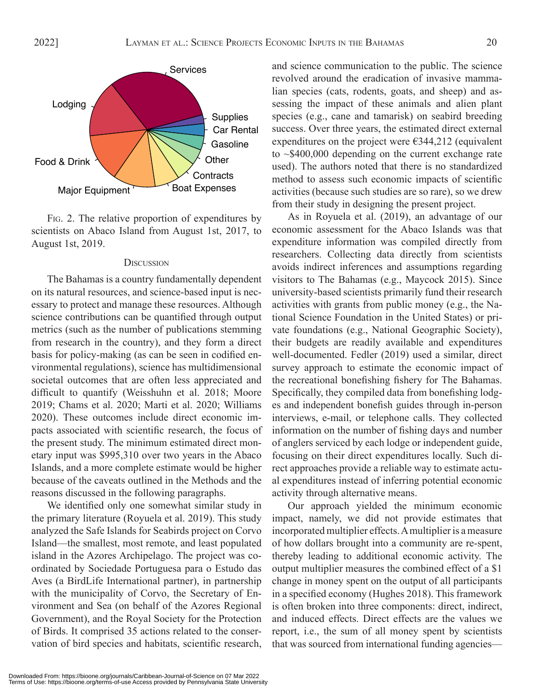

Fig. 2. The relative proportion of expenditures by scientists on Abaco Island from August 1st, 2017, to August 1st, 2019.

#### **DISCUSSION**

The Bahamas is a country fundamentally dependent on its natural resources, and science-based input is necessary to protect and manage these resources. Although science contributions can be quantified through output metrics (such as the number of publications stemming from research in the country), and they form a direct basis for policy-making (as can be seen in codified environmental regulations), science has multidimensional societal outcomes that are often less appreciated and difficult to quantify (Weisshuhn et al. 2018; Moore 2019; Chams et al. 2020; Marti et al. 2020; Williams 2020). These outcomes include direct economic impacts associated with scientific research, the focus of the present study. The minimum estimated direct monetary input was \$995,310 over two years in the Abaco Islands, and a more complete estimate would be higher because of the caveats outlined in the Methods and the reasons discussed in the following paragraphs.

We identified only one somewhat similar study in the primary literature (Royuela et al. 2019). This study analyzed the Safe Islands for Seabirds project on Corvo Island—the smallest, most remote, and least populated island in the Azores Archipelago. The project was coordinated by Sociedade Portuguesa para o Estudo das Aves (a BirdLife International partner), in partnership with the municipality of Corvo, the Secretary of Environment and Sea (on behalf of the Azores Regional Government), and the Royal Society for the Protection of Birds. It comprised 35 actions related to the conservation of bird species and habitats, scientific research,

and science communication to the public. The science revolved around the eradication of invasive mammalian species (cats, rodents, goats, and sheep) and assessing the impact of these animals and alien plant species (e.g., cane and tamarisk) on seabird breeding success. Over three years, the estimated direct external expenditures on the project were  $\epsilon$ 344,212 (equivalent to ~\$400,000 depending on the current exchange rate used). The authors noted that there is no standardized method to assess such economic impacts of scientific activities (because such studies are so rare), so we drew from their study in designing the present project.

As in Royuela et al. (2019), an advantage of our economic assessment for the Abaco Islands was that expenditure information was compiled directly from researchers. Collecting data directly from scientists avoids indirect inferences and assumptions regarding visitors to The Bahamas (e.g., Maycock 2015). Since university-based scientists primarily fund their research activities with grants from public money (e.g., the National Science Foundation in the United States) or private foundations (e.g., National Geographic Society), their budgets are readily available and expenditures well-documented. Fedler (2019) used a similar, direct survey approach to estimate the economic impact of the recreational bonefishing fishery for The Bahamas. Specifically, they compiled data from bonefishing lodges and independent bonefish guides through in-person interviews, e-mail, or telephone calls. They collected information on the number of fishing days and number of anglers serviced by each lodge or independent guide, focusing on their direct expenditures locally. Such direct approaches provide a reliable way to estimate actual expenditures instead of inferring potential economic activity through alternative means.

Our approach yielded the minimum economic impact, namely, we did not provide estimates that incorporated multiplier effects. A multiplier is a measure of how dollars brought into a community are re-spent, thereby leading to additional economic activity. The output multiplier measures the combined effect of a \$1 change in money spent on the output of all participants in a specified economy (Hughes 2018). This framework is often broken into three components: direct, indirect, and induced effects. Direct effects are the values we report, i.e., the sum of all money spent by scientists that was sourced from international funding agencies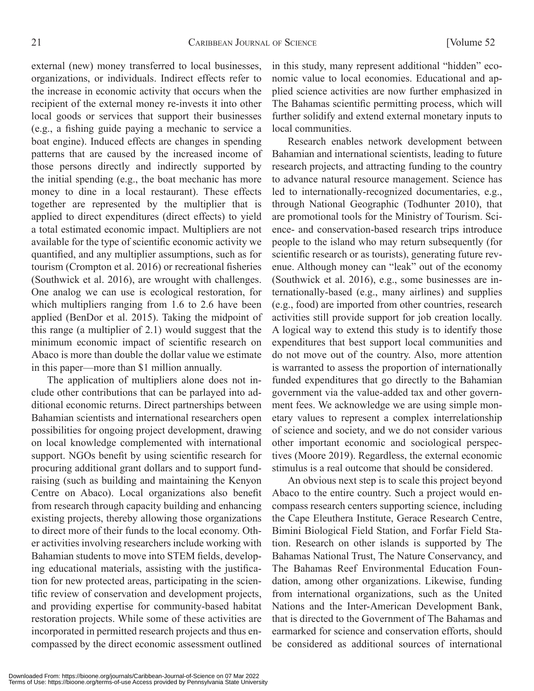external (new) money transferred to local businesses, organizations, or individuals. Indirect effects refer to the increase in economic activity that occurs when the recipient of the external money re-invests it into other local goods or services that support their businesses (e.g., a fishing guide paying a mechanic to service a boat engine). Induced effects are changes in spending patterns that are caused by the increased income of those persons directly and indirectly supported by the initial spending (e.g., the boat mechanic has more money to dine in a local restaurant). These effects together are represented by the multiplier that is applied to direct expenditures (direct effects) to yield a total estimated economic impact. Multipliers are not available for the type of scientific economic activity we quantified, and any multiplier assumptions, such as for tourism (Crompton et al. 2016) or recreational fisheries (Southwick et al. 2016), are wrought with challenges. One analog we can use is ecological restoration, for which multipliers ranging from 1.6 to 2.6 have been applied (BenDor et al. 2015). Taking the midpoint of this range (a multiplier of 2.1) would suggest that the minimum economic impact of scientific research on Abaco is more than double the dollar value we estimate in this paper—more than \$1 million annually.

The application of multipliers alone does not include other contributions that can be parlayed into additional economic returns. Direct partnerships between Bahamian scientists and international researchers open possibilities for ongoing project development, drawing on local knowledge complemented with international support. NGOs benefit by using scientific research for procuring additional grant dollars and to support fundraising (such as building and maintaining the Kenyon Centre on Abaco). Local organizations also benefit from research through capacity building and enhancing existing projects, thereby allowing those organizations to direct more of their funds to the local economy. Other activities involving researchers include working with Bahamian students to move into STEM fields, developing educational materials, assisting with the justification for new protected areas, participating in the scientific review of conservation and development projects, and providing expertise for community-based habitat restoration projects. While some of these activities are incorporated in permitted research projects and thus encompassed by the direct economic assessment outlined

in this study, many represent additional "hidden" economic value to local economies. Educational and applied science activities are now further emphasized in The Bahamas scientific permitting process, which will further solidify and extend external monetary inputs to local communities.

Research enables network development between Bahamian and international scientists, leading to future research projects, and attracting funding to the country to advance natural resource management. Science has led to internationally-recognized documentaries, e.g., through National Geographic (Todhunter 2010), that are promotional tools for the Ministry of Tourism. Science- and conservation-based research trips introduce people to the island who may return subsequently (for scientific research or as tourists), generating future revenue. Although money can "leak" out of the economy (Southwick et al. 2016), e.g., some businesses are internationally-based (e.g., many airlines) and supplies (e.g., food) are imported from other countries, research activities still provide support for job creation locally. A logical way to extend this study is to identify those expenditures that best support local communities and do not move out of the country. Also, more attention is warranted to assess the proportion of internationally funded expenditures that go directly to the Bahamian government via the value-added tax and other government fees. We acknowledge we are using simple monetary values to represent a complex interrelationship of science and society, and we do not consider various other important economic and sociological perspectives (Moore 2019). Regardless, the external economic stimulus is a real outcome that should be considered.

An obvious next step is to scale this project beyond Abaco to the entire country. Such a project would encompass research centers supporting science, including the Cape Eleuthera Institute, Gerace Research Centre, Bimini Biological Field Station, and Forfar Field Station. Research on other islands is supported by The Bahamas National Trust, The Nature Conservancy, and The Bahamas Reef Environmental Education Foundation, among other organizations. Likewise, funding from international organizations, such as the United Nations and the Inter-American Development Bank, that is directed to the Government of The Bahamas and earmarked for science and conservation efforts, should be considered as additional sources of international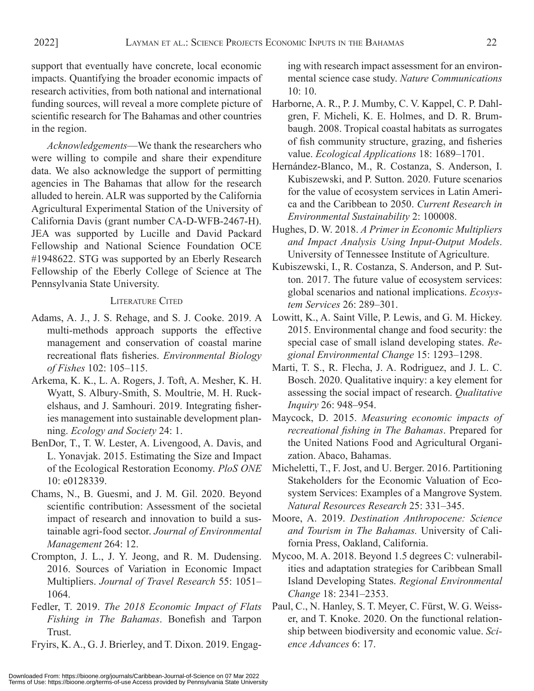support that eventually have concrete, local economic impacts. Quantifying the broader economic impacts of research activities, from both national and international funding sources, will reveal a more complete picture of scientific research for The Bahamas and other countries in the region.

*Acknowledgements*—We thank the researchers who were willing to compile and share their expenditure data. We also acknowledge the support of permitting agencies in The Bahamas that allow for the research alluded to herein. ALR was supported by the California Agricultural Experimental Station of the University of California Davis (grant number CA-D-WFB-2467-H). JEA was supported by Lucille and David Packard Fellowship and National Science Foundation OCE #1948622. STG was supported by an Eberly Research Fellowship of the Eberly College of Science at The Pennsylvania State University.

### LITERATURE CITED

- Adams, A. J., J. S. Rehage, and S. J. Cooke. 2019. A multi-methods approach supports the effective management and conservation of coastal marine recreational flats fisheries. *Environmental Biology of Fishes* 102: 105–115.
- Arkema, K. K., L. A. Rogers, J. Toft, A. Mesher, K. H. Wyatt, S. Albury-Smith, S. Moultrie, M. H. Ruckelshaus, and J. Samhouri. 2019. Integrating fisheries management into sustainable development planning. *Ecology and Society* 24: 1.
- BenDor, T., T. W. Lester, A. Livengood, A. Davis, and L. Yonavjak. 2015. Estimating the Size and Impact of the Ecological Restoration Economy. *PloS ONE*  10: e0128339.
- Chams, N., B. Guesmi, and J. M. Gil. 2020. Beyond scientific contribution: Assessment of the societal impact of research and innovation to build a sustainable agri-food sector. *Journal of Environmental Management* 264: 12.
- Crompton, J. L., J. Y. Jeong, and R. M. Dudensing. 2016. Sources of Variation in Economic Impact Multipliers. *Journal of Travel Research* 55: 1051– 1064.
- Fedler, T. 2019. *The 2018 Economic Impact of Flats Fishing in The Bahamas*. Bonefish and Tarpon Trust.

Fryirs, K. A., G. J. Brierley, and T. Dixon. 2019. Engag-

ing with research impact assessment for an environmental science case study. *Nature Communications*  10: 10.

- Harborne, A. R., P. J. Mumby, C. V. Kappel, C. P. Dahlgren, F. Micheli, K. E. Holmes, and D. R. Brumbaugh. 2008. Tropical coastal habitats as surrogates of fish community structure, grazing, and fisheries value. *Ecological Applications* 18: 1689–1701.
- Hernández-Blanco, M., R. Costanza, S. Anderson, I. Kubiszewski, and P. Sutton. 2020. Future scenarios for the value of ecosystem services in Latin America and the Caribbean to 2050. *Current Research in Environmental Sustainability* 2: 100008.
- Hughes, D. W. 2018. *A Primer in Economic Multipliers and Impact Analysis Using Input-Output Models*. University of Tennessee Institute of Agriculture.
- Kubiszewski, I., R. Costanza, S. Anderson, and P. Sutton. 2017. The future value of ecosystem services: global scenarios and national implications. *Ecosystem Services* 26: 289–301.
- Lowitt, K., A. Saint Ville, P. Lewis, and G. M. Hickey. 2015. Environmental change and food security: the special case of small island developing states. *Regional Environmental Change* 15: 1293–1298.
- Marti, T. S., R. Flecha, J. A. Rodriguez, and J. L. C. Bosch. 2020. Qualitative inquiry: a key element for assessing the social impact of research. *Qualitative Inquiry* 26: 948–954.
- Maycock, D. 2015. *Measuring economic impacts of recreational fishing in The Bahamas*. Prepared for the United Nations Food and Agricultural Organization. Abaco, Bahamas.
- Micheletti, T., F. Jost, and U. Berger. 2016. Partitioning Stakeholders for the Economic Valuation of Ecosystem Services: Examples of a Mangrove System. *Natural Resources Research* 25: 331–345.
- Moore, A. 2019. *Destination Anthropocene: Science and Tourism in The Bahamas.* University of California Press, Oakland, California.
- Mycoo, M. A. 2018. Beyond 1.5 degrees C: vulnerabilities and adaptation strategies for Caribbean Small Island Developing States. *Regional Environmental Change* 18: 2341–2353.
- Paul, C., N. Hanley, S. T. Meyer, C. Fürst, W. G. Weisser, and T. Knoke. 2020. On the functional relationship between biodiversity and economic value. *Science Advances* 6: 17.